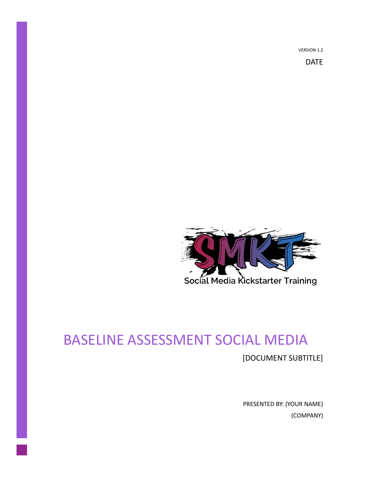VERSION 1.2

DATE



## BASELINE ASSESSMENT SOCIAL MEDIA

[DOCUMENT SUBTITLE]

PRESENTED BY: (YOUR NAME) (COMPANY)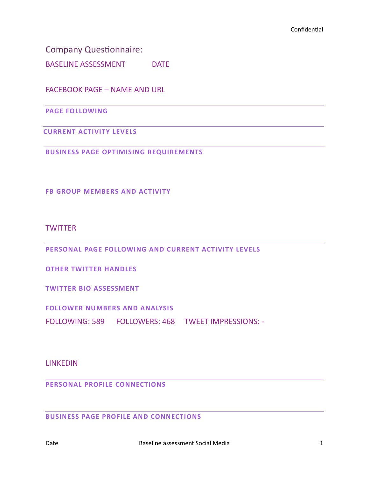Company Questionnaire:

BASELINE ASSESSMENT DATE

FACEBOOK PAGE – NAME AND URL

**PAGE FOLLOWING**

**CURRENT ACTIVITY LEVELS**

**BUSINESS PAGE OPTIMISING REQUIREMENTS**

**FB GROUP MEMBERS AND ACTIVITY**

**TWITTER** 

**PERSONAL PAGE FOLLOWING AND CURRENT ACTIVITY LEVELS**

**OTHER TWITTER HANDLES**

**TWITTER BIO ASSESSMENT**

**FOLLOWER NUMBERS AND ANALYSIS**

FOLLOWING: 589 FOLLOWERS: 468 TWEET IMPRESSIONS: -

LINKEDIN

**PERSONAL PROFILE CONNECTIONS** 

**BUSINESS PAGE PROFILE AND CONNECTIONS**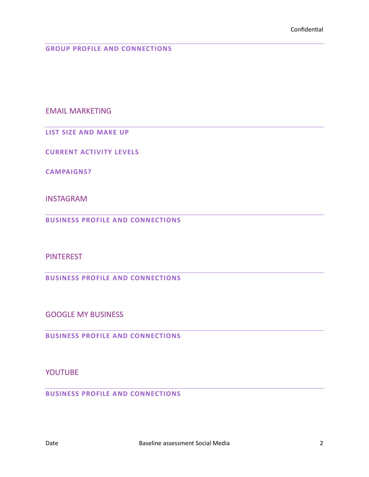**GROUP PROFILE AND CONNECTIONS** 

EMAIL MARKETING

**LIST SIZE AND MAKE UP**

**CURRENT ACTIVITY LEVELS**

**CAMPAIGNS?**

INSTAGRAM

**BUSINESS PROFILE AND CONNECTIONS** 

**PINTEREST** 

**BUSINESS PROFILE AND CONNECTIONS** 

GOOGLE MY BUSINESS

**BUSINESS PROFILE AND CONNECTIONS** 

YOUTUBE

**BUSINESS PROFILE AND CONNECTIONS**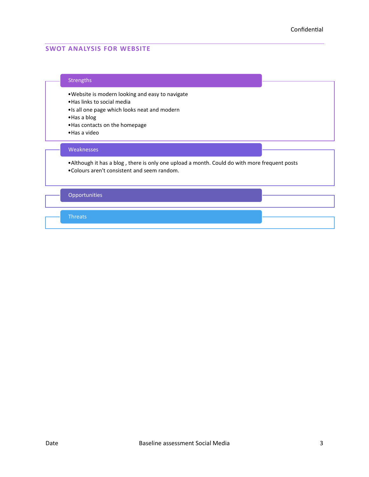## **SWOT ANALYSIS FOR WEBSITE**

## Strengths

•Website is modern looking and easy to navigate

•Has links to social media

•Is all one page which looks neat and modern

•Has a blog

•Has contacts on the homepage

•Has a video

## Weaknesses

•Although it has a blog , there is only one upload a month. Could do with more frequent posts •Colours aren't consistent and seem random.

Opportunities

**Threats**